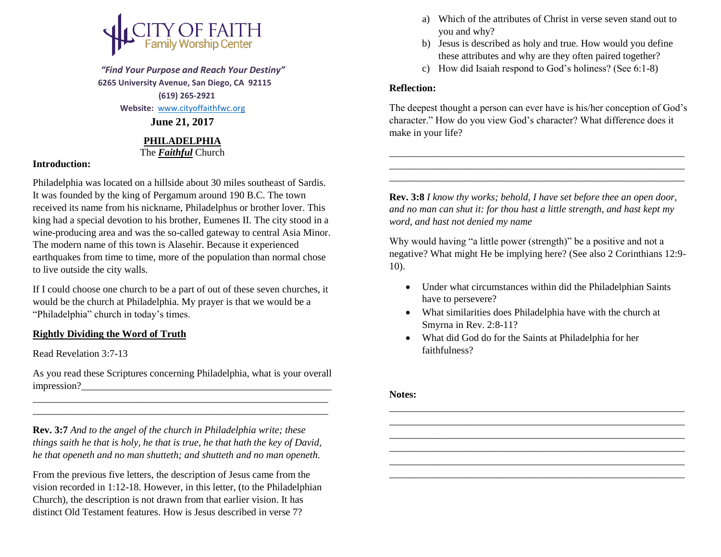

 *"Find Your Purpose and Reach Your Destiny"*  **6265 University Avenue, San Diego, CA 92115 (619) 265-2921 Website:** [www.cityoffaithfwc.org](http://www.cityoffaithfwc.org/) **June 21, 2017**

# **PHILADELPHIA**

The *Faithful* Church

## **Introduction:**

Philadelphia was located on a hillside about 30 miles southeast of Sardis. It was founded by the king of Pergamum around 190 B.C. The town received its name from his nickname, Philadelphus or brother lover. This king had a special devotion to his brother, Eumenes II. The city stood in a wine-producing area and was the so-called gateway to central Asia Minor. The modern name of this town is Alasehir. Because it experienced earthquakes from time to time, more of the population than normal chose to live outside the city walls.

If I could choose one church to be a part of out of these seven churches, it would be the church at Philadelphia. My prayer is that we would be a "Philadelphia" church in today's times.

## **Rightly Dividing the Word of Truth**

Read Revelation 3:7-13

As you read these Scriptures concerning Philadelphia, what is your overall impression?\_\_\_\_\_\_\_\_\_\_\_\_\_\_\_\_\_\_\_\_\_\_\_\_\_\_\_\_\_\_\_\_\_\_\_\_\_\_\_\_\_\_\_\_\_\_\_\_\_\_

\_\_\_\_\_\_\_\_\_\_\_\_\_\_\_\_\_\_\_\_\_\_\_\_\_\_\_\_\_\_\_\_\_\_\_\_\_\_\_\_\_\_\_\_\_\_\_\_\_\_\_\_\_\_\_\_\_\_\_ \_\_\_\_\_\_\_\_\_\_\_\_\_\_\_\_\_\_\_\_\_\_\_\_\_\_\_\_\_\_\_\_\_\_\_\_\_\_\_\_\_\_\_\_\_\_\_\_\_\_\_\_\_\_\_\_\_\_\_

**Rev. 3:7** *And to the angel of the church in Philadelphia write; these things saith he that is holy, he that is true, he that hath the key of David, he that openeth and no man shutteth; and shutteth and no man openeth.*

From the previous five letters, the description of Jesus came from the vision recorded in 1:12-18. However, in this letter, (to the Philadelphian Church), the description is not drawn from that earlier vision. It has distinct Old Testament features. How is Jesus described in verse 7?

- a) Which of the attributes of Christ in verse seven stand out to you and why?
- b) Jesus is described as holy and true. How would you define these attributes and why are they often paired together?
- c) How did Isaiah respond to God's holiness? (See 6:1-8)

## **Reflection:**

The deepest thought a person can ever have is his/her conception of God's character." How do you view God's character? What difference does it make in your life?

\_\_\_\_\_\_\_\_\_\_\_\_\_\_\_\_\_\_\_\_\_\_\_\_\_\_\_\_\_\_\_\_\_\_\_\_\_\_\_\_\_\_\_\_\_\_\_\_\_\_\_\_\_\_\_\_\_\_\_ \_\_\_\_\_\_\_\_\_\_\_\_\_\_\_\_\_\_\_\_\_\_\_\_\_\_\_\_\_\_\_\_\_\_\_\_\_\_\_\_\_\_\_\_\_\_\_\_\_\_\_\_\_\_\_\_\_\_\_ \_\_\_\_\_\_\_\_\_\_\_\_\_\_\_\_\_\_\_\_\_\_\_\_\_\_\_\_\_\_\_\_\_\_\_\_\_\_\_\_\_\_\_\_\_\_\_\_\_\_\_\_\_\_\_\_\_\_\_

**Rev. 3:8** *I know thy works; behold, I have set before thee an open door, and no man can shut it: for thou hast a little strength, and hast kept my word, and hast not denied my name*

Why would having "a little power (strength)" be a positive and not a negative? What might He be implying here? (See also 2 Corinthians 12:9- 10).

- Under what circumstances within did the Philadelphian Saints have to persevere?
- What similarities does Philadelphia have with the church at Smyrna in Rev. 2:8-11?

\_\_\_\_\_\_\_\_\_\_\_\_\_\_\_\_\_\_\_\_\_\_\_\_\_\_\_\_\_\_\_\_\_\_\_\_\_\_\_\_\_\_\_\_\_\_\_\_\_\_\_\_\_\_\_\_\_\_\_ \_\_\_\_\_\_\_\_\_\_\_\_\_\_\_\_\_\_\_\_\_\_\_\_\_\_\_\_\_\_\_\_\_\_\_\_\_\_\_\_\_\_\_\_\_\_\_\_\_\_\_\_\_\_\_\_\_\_\_ \_\_\_\_\_\_\_\_\_\_\_\_\_\_\_\_\_\_\_\_\_\_\_\_\_\_\_\_\_\_\_\_\_\_\_\_\_\_\_\_\_\_\_\_\_\_\_\_\_\_\_\_\_\_\_\_\_\_\_ \_\_\_\_\_\_\_\_\_\_\_\_\_\_\_\_\_\_\_\_\_\_\_\_\_\_\_\_\_\_\_\_\_\_\_\_\_\_\_\_\_\_\_\_\_\_\_\_\_\_\_\_\_\_\_\_\_\_\_ \_\_\_\_\_\_\_\_\_\_\_\_\_\_\_\_\_\_\_\_\_\_\_\_\_\_\_\_\_\_\_\_\_\_\_\_\_\_\_\_\_\_\_\_\_\_\_\_\_\_\_\_\_\_\_\_\_\_\_ \_\_\_\_\_\_\_\_\_\_\_\_\_\_\_\_\_\_\_\_\_\_\_\_\_\_\_\_\_\_\_\_\_\_\_\_\_\_\_\_\_\_\_\_\_\_\_\_\_\_\_\_\_\_\_\_\_\_\_

 What did God do for the Saints at Philadelphia for her faithfulness?

#### **Notes:**